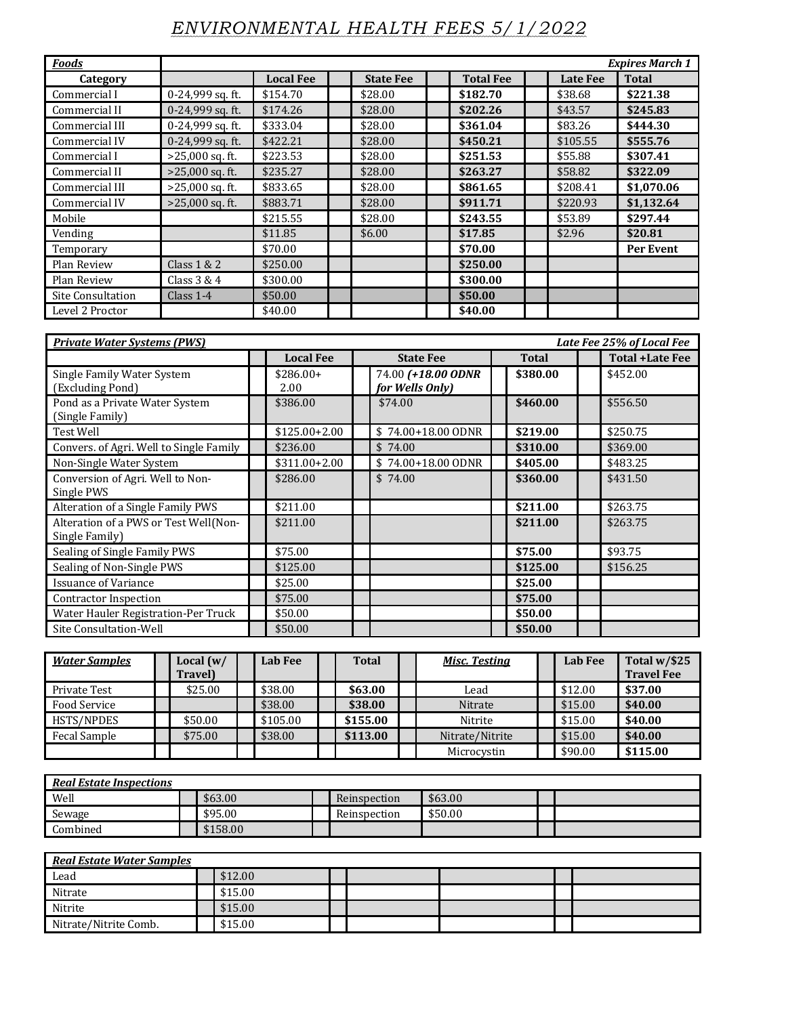## *ENVIRONMENTAL HEALTH FEES 5/1/2022*

| <b>Foods</b>             |                    |                  |                  |                  |                 | <b>Expires March 1</b> |
|--------------------------|--------------------|------------------|------------------|------------------|-----------------|------------------------|
| Category                 |                    | <b>Local Fee</b> | <b>State Fee</b> | <b>Total Fee</b> | <b>Late Fee</b> | <b>Total</b>           |
| Commercial I             | 0-24,999 sq. ft.   | \$154.70         | \$28.00          | \$182.70         | \$38.68         | \$221.38               |
| Commercial II            | $0-24,999$ sq. ft. | \$174.26         | \$28.00          | \$202.26         | \$43.57         | \$245.83               |
| Commercial III           | $0-24,999$ sq. ft. | \$333.04         | \$28.00          | \$361.04         | \$83.26         | \$444.30               |
| Commercial IV            | 0-24,999 sq. ft.   | \$422.21         | \$28.00          | \$450.21         | \$105.55        | \$555.76               |
| Commercial I             | $>25,000$ sq. ft.  | \$223.53         | \$28.00          | \$251.53         | \$55.88         | \$307.41               |
| Commercial II            | $>25,000$ sq. ft.  | \$235.27         | \$28.00          | \$263.27         | \$58.82         | \$322.09               |
| Commercial III           | $>25,000$ sq. ft.  | \$833.65         | \$28.00          | \$861.65         | \$208.41        | \$1,070.06             |
| Commercial IV            | $>25,000$ sq. ft.  | \$883.71         | \$28.00          | \$911.71         | \$220.93        | \$1,132.64             |
| Mobile                   |                    | \$215.55         | \$28.00          | \$243.55         | \$53.89         | \$297.44               |
| Vending                  |                    | \$11.85          | \$6.00           | \$17.85          | \$2.96          | \$20.81                |
| Temporary                |                    | \$70.00          |                  | \$70.00          |                 | Per Event              |
| Plan Review              | Class $1 & 2$      | \$250.00         |                  | \$250.00         |                 |                        |
| Plan Review              | Class $3 & 4$      | \$300.00         |                  | \$300.00         |                 |                        |
| <b>Site Consultation</b> | Class $1-4$        | \$50.00          |                  | \$50.00          |                 |                        |
| Level 2 Proctor          |                    | \$40.00          |                  | \$40.00          |                 |                        |

| <b>Private Water Systems (PWS)</b>                     | Late Fee 25% of Local Fee |                    |  |                                       |  |              |  |                        |  |  |  |  |  |  |
|--------------------------------------------------------|---------------------------|--------------------|--|---------------------------------------|--|--------------|--|------------------------|--|--|--|--|--|--|
|                                                        |                           | <b>Local Fee</b>   |  | <b>State Fee</b>                      |  | <b>Total</b> |  | <b>Total +Late Fee</b> |  |  |  |  |  |  |
| Single Family Water System<br>(Excluding Pond)         |                           | $$286.00+$<br>2.00 |  | 74.00 (+18.00 ODNR<br>for Wells Only) |  | \$380.00     |  | \$452.00               |  |  |  |  |  |  |
| Pond as a Private Water System<br>(Single Family)      |                           | \$386.00           |  | \$74.00                               |  | \$460.00     |  | \$556.50               |  |  |  |  |  |  |
| <b>Test Well</b>                                       |                           | $$125.00+2.00$     |  | \$74.00+18.00 ODNR                    |  | \$219.00     |  | \$250.75               |  |  |  |  |  |  |
| Convers. of Agri. Well to Single Family                |                           | \$236.00           |  | \$74.00                               |  | \$310.00     |  | \$369.00               |  |  |  |  |  |  |
| Non-Single Water System                                |                           | $$311.00 + 2.00$   |  | \$74.00+18.00 ODNR                    |  | \$405.00     |  | \$483.25               |  |  |  |  |  |  |
| Conversion of Agri. Well to Non-<br>Single PWS         |                           | \$286.00           |  | \$74.00                               |  | \$360.00     |  | \$431.50               |  |  |  |  |  |  |
| Alteration of a Single Family PWS                      |                           | \$211.00           |  |                                       |  | \$211.00     |  | \$263.75               |  |  |  |  |  |  |
| Alteration of a PWS or Test Well(Non-<br>Single Family |                           | \$211.00           |  |                                       |  | \$211.00     |  | \$263.75               |  |  |  |  |  |  |
| Sealing of Single Family PWS                           |                           | \$75.00            |  |                                       |  | \$75.00      |  | \$93.75                |  |  |  |  |  |  |
| Sealing of Non-Single PWS                              |                           | \$125.00           |  |                                       |  | \$125.00     |  | \$156.25               |  |  |  |  |  |  |
| <b>Issuance of Variance</b>                            |                           | \$25.00            |  |                                       |  | \$25.00      |  |                        |  |  |  |  |  |  |
| Contractor Inspection                                  |                           | \$75.00            |  |                                       |  | \$75.00      |  |                        |  |  |  |  |  |  |
| Water Hauler Registration-Per Truck                    |                           | \$50.00            |  |                                       |  | \$50.00      |  |                        |  |  |  |  |  |  |
| Site Consultation-Well                                 |                           | \$50.00            |  |                                       |  | \$50.00      |  |                        |  |  |  |  |  |  |

| <b>Water Samples</b> | Local $(w/$<br><b>Travel</b> ) | Lab Fee  | <b>Total</b> | <b>Misc. Testing</b> | <b>Lab Fee</b> | Total w/\$25<br><b>Travel Fee</b> |
|----------------------|--------------------------------|----------|--------------|----------------------|----------------|-----------------------------------|
| Private Test         | \$25.00                        | \$38.00  | \$63.00      | Lead                 | \$12.00        | \$37.00                           |
| Food Service         |                                | \$38.00  | \$38.00      | Nitrate              | \$15.00        | \$40.00                           |
| HSTS/NPDES           | \$50.00                        | \$105.00 | \$155.00     | Nitrite              | \$15.00        | \$40.00                           |
| Fecal Sample         | \$75.00                        | \$38.00  | \$113.00     | Nitrate/Nitrite      | \$15.00        | \$40.00                           |
|                      |                                |          |              | Microcystin          | \$90.00        | \$115.00                          |

| <b>Real Estate Inspections</b> |  |          |  |              |         |  |  |  |  |  |  |  |
|--------------------------------|--|----------|--|--------------|---------|--|--|--|--|--|--|--|
| Well                           |  | \$63.00  |  | Reinspection | \$63.00 |  |  |  |  |  |  |  |
| Sewage                         |  | \$95.00  |  | Reinspection | \$50.00 |  |  |  |  |  |  |  |
| Combined                       |  | \$158.00 |  |              |         |  |  |  |  |  |  |  |

| <b>Real Estate Water Samples</b> |  |         |  |  |  |  |  |  |  |  |  |  |
|----------------------------------|--|---------|--|--|--|--|--|--|--|--|--|--|
| Lead                             |  | \$12.00 |  |  |  |  |  |  |  |  |  |  |
| Nitrate                          |  | \$15.00 |  |  |  |  |  |  |  |  |  |  |
| Nitrite                          |  | \$15.00 |  |  |  |  |  |  |  |  |  |  |
| Nitrate/Nitrite Comb.            |  | \$15.00 |  |  |  |  |  |  |  |  |  |  |